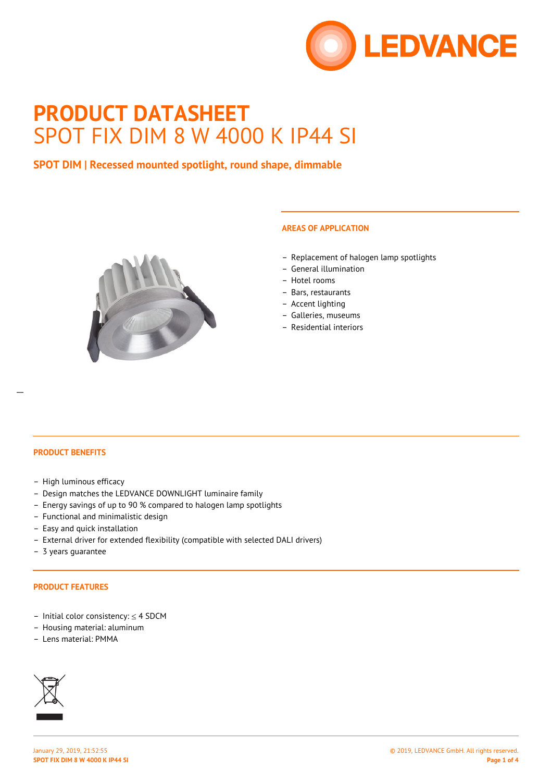

# **PRODUCT DATASHEET** SPOT FIX DIM 8 W 4000 K IP44 SI

## **SPOT DIM | Recessed mounted spotlight, round shape, dimmable**



## **AREAS OF APPLICATION**

- Replacement of halogen lamp spotlights
- General illumination
- Hotel rooms
- Bars, restaurants
- Accent lighting
- Galleries, museums
- Residential interiors

#### **PRODUCT BENEFITS**

- High luminous efficacy
- Design matches the LEDVANCE DOWNLIGHT luminaire family
- Energy savings of up to 90 % compared to halogen lamp spotlights
- Functional and minimalistic design
- Easy and quick installation
- External driver for extended flexibility (compatible with selected DALI drivers)
- 3 years guarantee

#### **PRODUCT FEATURES**

- Initial color consistency: ≤ 4 SDCM
- Housing material: aluminum
- Lens material: PMMA

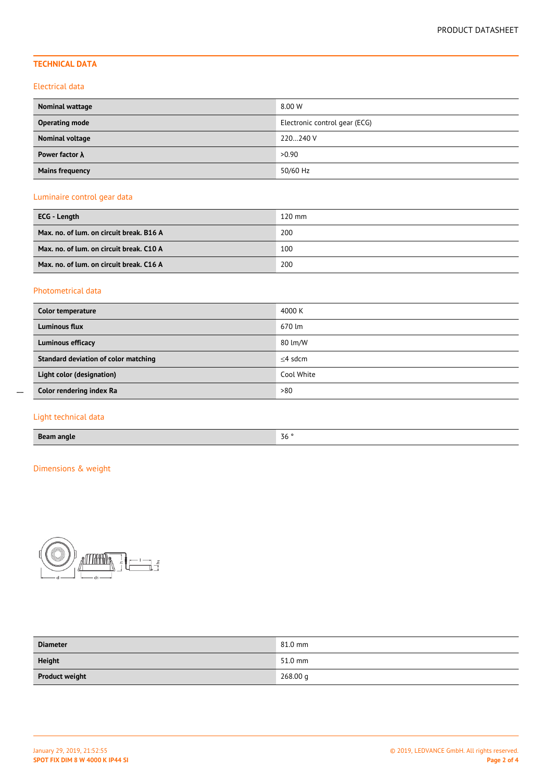## **TECHNICAL DATA**

### Electrical data

| <b>Nominal wattage</b> | 8.00 W                        |
|------------------------|-------------------------------|
| <b>Operating mode</b>  | Electronic control gear (ECG) |
| Nominal voltage        | 220240 V                      |
| Power factor $\lambda$ | >0.90                         |
| <b>Mains frequency</b> | 50/60 Hz                      |

## Luminaire control gear data

| ECG - Length                             | $120$ mm |
|------------------------------------------|----------|
| Max. no. of lum. on circuit break. B16 A | 200      |
| Max. no. of lum. on circuit break. C10 A | 100      |
| Max. no. of lum. on circuit break. C16 A | 200      |

## Photometrical data

| Color temperature                    | 4000 K     |
|--------------------------------------|------------|
| <b>Luminous flux</b>                 | 670 lm     |
| <b>Luminous efficacy</b>             | 80 lm/W    |
| Standard deviation of color matching | $<$ 4 sdcm |
| Light color (designation)            | Cool White |
| Color rendering index Ra             | >80        |

## Light technical data

 $\overline{a}$ 

## Dimensions & weight



| <b>Diameter</b>       | 81.0 mm  |
|-----------------------|----------|
| <b>Height</b>         | 51.0 mm  |
| <b>Product weight</b> | 268.00 g |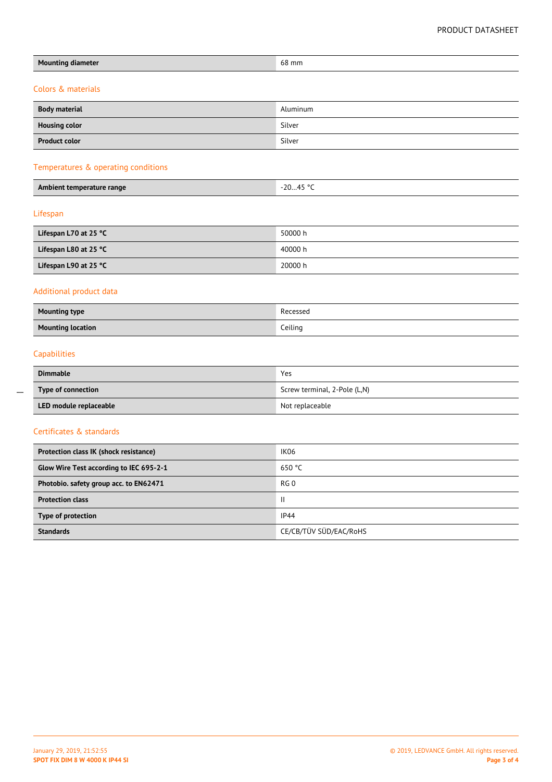| <b>Mounting diameter</b>                | 68 mm                        |  |  |  |  |
|-----------------------------------------|------------------------------|--|--|--|--|
| Colors & materials                      |                              |  |  |  |  |
| <b>Body material</b>                    | Aluminum                     |  |  |  |  |
| <b>Housing color</b>                    | Silver                       |  |  |  |  |
| <b>Product color</b>                    | Silver                       |  |  |  |  |
| Temperatures & operating conditions     |                              |  |  |  |  |
| Ambient temperature range               | $-2045$ °C                   |  |  |  |  |
| Lifespan                                |                              |  |  |  |  |
| Lifespan L70 at 25 °C                   | 50000 h                      |  |  |  |  |
| Lifespan L80 at 25 °C                   | 40000 h                      |  |  |  |  |
| Lifespan L90 at 25 °C                   | 20000 h                      |  |  |  |  |
| Additional product data                 |                              |  |  |  |  |
| <b>Mounting type</b>                    | Recessed                     |  |  |  |  |
| <b>Mounting location</b>                | Ceiling                      |  |  |  |  |
| Capabilities                            |                              |  |  |  |  |
| <b>Dimmable</b>                         | Yes                          |  |  |  |  |
| Type of connection                      | Screw terminal, 2-Pole (L,N) |  |  |  |  |
| LED module replaceable                  | Not replaceable              |  |  |  |  |
| Certificates & standards                |                              |  |  |  |  |
| Protection class IK (shock resistance)  | IK06                         |  |  |  |  |
| Glow Wire Test according to IEC 695-2-1 | 650 °C                       |  |  |  |  |
| Photobio. safety group acc. to EN62471  | RG <sub>0</sub>              |  |  |  |  |
| <b>Protection class</b>                 | $\mathbf{II}$                |  |  |  |  |
| Type of protection                      | IP44                         |  |  |  |  |

 $\overline{a}$